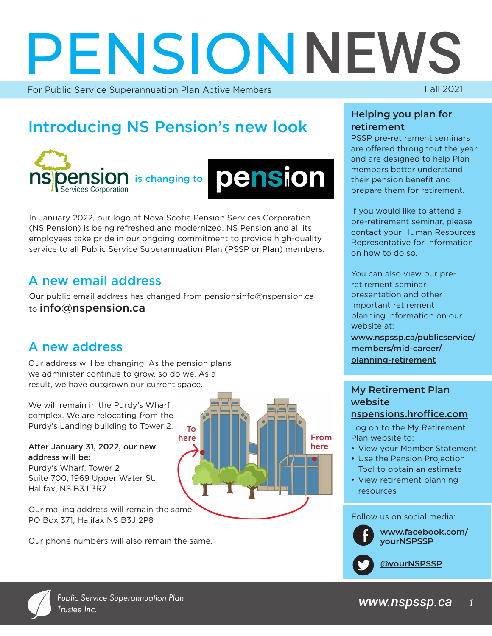# **PENSIONNEWS**

For Public Service Superannuation Plan Active Members

# Introducing NS Pension's new look





In January 2022, our logo at Nova Scotia Pension Services Corporation (NS Pension) is being refreshed and modernized. NS Pension and all its employees take pride in our ongoing commitment to provide high-quality service to all Public Service Superannuation Plan (PSSP or Plan) members.

# A new email address

Our public email address has changed from pensionsinfo@nspension.ca to info@nspension.ca

> To here

# A new address

Our address will be changing. As the pension plans we administer continue to grow, so do we. As a result, we have outgrown our current space.

We will remain in the Purdy's Wharf complex. We are relocating from the Purdy's Landing building to Tower 2.

#### After January 31, 2022, our new address will be:

Purdy's Wharf, Tower 2 Suite 700, 1969 Upper Water St. Halifax, NS B3J 3R7

Our mailing address will remain the same: PO Box 371, Halifax NS B3J 2P8

Our phone numbers will also remain the same.

#### **Helping you plan for retirement**

PSSP pre-retirement seminars are offered throughout the year and are designed to help Plan members better understand their pension benefit and prepare them for retirement.

If you would like to attend a pre-retirement seminar, please contact your Human Resources Representative for information on how to do so.

You can also view our preretirement seminar presentation and other important retirement planning information on our website at:

**[www.nspssp.ca/publicservice/](https://www.nspssp.ca/publicservice/members/mid-career/planning-retirement) [members/mid-career/](https://www.nspssp.ca/publicservice/members/mid-career/planning-retirement) [planning-retirement](https://www.nspssp.ca/publicservice/members/mid-career/planning-retirement)**

#### **My Retirement Plan website**  [nspensions.hroffice.com](https://nspensions.hroffice.com/account/login/MustAuthLogin?target=http%3a%2f%2fnspensions.hroffice.com%2f)

Log on to the My Retirement Plan website to:

- View your Member Statement
- Use the Pension Projection Tool to obtain an estimate
- View retirement planning resources

Follow us on social media:



From here

[www.facebook.com/](https://www.facebook.com/yourNSPSSP)<br>[yourNSPSSP](https://www.facebook.com/yourNSPSSP)

**[@yourNSPSSP](https://twitter.com/yourNSPSSP)**